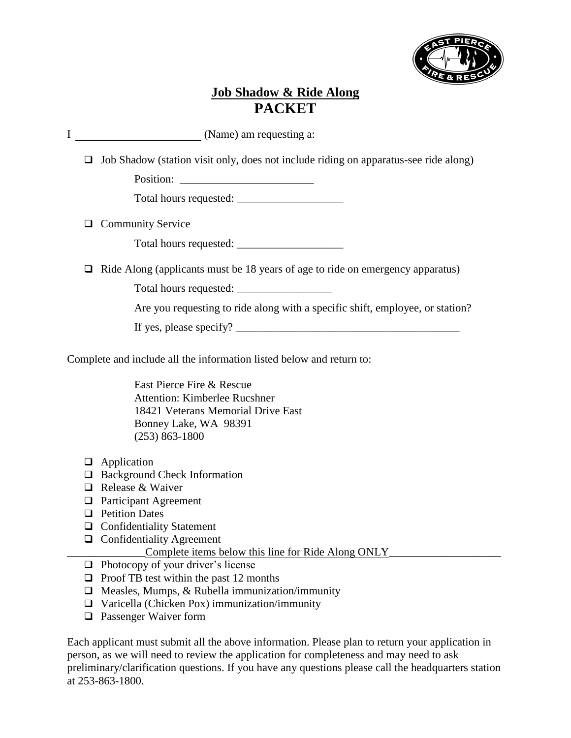

### **Job Shadow & Ride Along PACKET**

I (Name) am requesting a:

❑ Job Shadow (station visit only, does not include riding on apparatus-see ride along)

Position: \_\_\_\_\_\_\_\_\_\_\_\_\_\_\_\_\_\_\_\_\_\_\_\_

Total hours requested:

❑ Community Service

Total hours requested: \_\_\_\_\_\_\_\_\_\_\_\_\_\_\_\_\_\_\_

❑ Ride Along (applicants must be 18 years of age to ride on emergency apparatus)

Total hours requested:

Are you requesting to ride along with a specific shift, employee, or station?

If yes, please specify?  $\frac{1}{2}$   $\frac{1}{2}$   $\frac{1}{2}$   $\frac{1}{2}$   $\frac{1}{2}$   $\frac{1}{2}$   $\frac{1}{2}$   $\frac{1}{2}$   $\frac{1}{2}$   $\frac{1}{2}$   $\frac{1}{2}$   $\frac{1}{2}$   $\frac{1}{2}$   $\frac{1}{2}$   $\frac{1}{2}$   $\frac{1}{2}$   $\frac{1}{2}$   $\frac{1}{2}$   $\frac{1}{2}$   $\frac{1}{2$ 

Complete and include all the information listed below and return to:

East Pierce Fire & Rescue Attention: Kimberlee Rucshner 18421 Veterans Memorial Drive East Bonney Lake, WA 98391 (253) 863-1800

- ❑ Application
- ❑ Background Check Information
- ❑ Release & Waiver
- ❑ Participant Agreement
- ❑ Petition Dates
- ❑ Confidentiality Statement
- ❑ Confidentiality Agreement
	- \_\_\_\_\_\_\_\_\_\_\_\_\_\_Complete items below this line for Ride Along ONLY\_\_\_\_\_\_\_\_\_\_\_\_\_\_\_\_\_\_\_\_
- ❑ Photocopy of your driver's license
- ❑ Proof TB test within the past 12 months
- $\Box$  Measles, Mumps, & Rubella immunization/immunity
- ❑ Varicella (Chicken Pox) immunization/immunity
- ❑ Passenger Waiver form

Each applicant must submit all the above information. Please plan to return your application in person, as we will need to review the application for completeness and may need to ask preliminary/clarification questions. If you have any questions please call the headquarters station at 253-863-1800.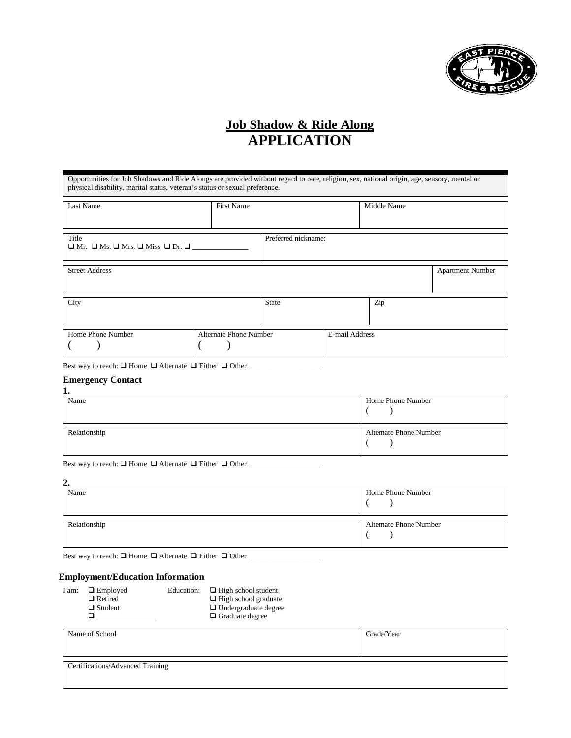

### **Job Shadow & Ride Along APPLICATION**

| Opportunities for Job Shadows and Ride Alongs are provided without regard to race, religion, sex, national origin, age, sensory, mental or<br>physical disability, marital status, veteran's status or sexual preference. |                                                                 |                                                                                                             |                     |                                                                                 |
|---------------------------------------------------------------------------------------------------------------------------------------------------------------------------------------------------------------------------|-----------------------------------------------------------------|-------------------------------------------------------------------------------------------------------------|---------------------|---------------------------------------------------------------------------------|
| <b>First Name</b>                                                                                                                                                                                                         |                                                                 |                                                                                                             |                     |                                                                                 |
|                                                                                                                                                                                                                           |                                                                 |                                                                                                             |                     |                                                                                 |
|                                                                                                                                                                                                                           |                                                                 |                                                                                                             |                     | <b>Apartment Number</b>                                                         |
|                                                                                                                                                                                                                           | <b>State</b>                                                    |                                                                                                             | Zip                 |                                                                                 |
|                                                                                                                                                                                                                           |                                                                 |                                                                                                             |                     |                                                                                 |
|                                                                                                                                                                                                                           |                                                                 |                                                                                                             |                     |                                                                                 |
|                                                                                                                                                                                                                           |                                                                 |                                                                                                             |                     |                                                                                 |
|                                                                                                                                                                                                                           | $\Box$ Mr. $\Box$ Ms. $\Box$ Mrs. $\Box$ Miss $\Box$ Dr. $\Box$ | <b>Alternate Phone Number</b><br>Best way to reach: $\Box$ Home $\Box$ Alternate $\Box$ Either $\Box$ Other | Preferred nickname: | Middle Name<br>E-mail Address<br>$\mathbf{r}$<br>T <sub>1</sub><br>$\mathbf{v}$ |

| Name         | Home Phone Number      |
|--------------|------------------------|
|              |                        |
| Relationship | Alternate Phone Number |
|              |                        |

Best way to reach: □ Home □ Alternate □ Either □ Other \_\_\_\_\_\_\_\_\_\_\_\_\_\_\_\_\_\_\_\_\_\_\_\_\_

| ↑<br>∸.      |                        |
|--------------|------------------------|
| Name         | Home Phone Number      |
|              |                        |
| Relationship | Alternate Phone Number |
|              |                        |

Best way to reach: □ Home □ Alternate □ Either □ Other \_\_\_\_\_\_\_\_\_\_\_\_\_\_\_\_\_\_\_\_\_\_\_\_\_

#### **Employment/Education Information**

| I am: | $\Box$ Employed | Education: | $\Box$ High school student  |
|-------|-----------------|------------|-----------------------------|
|       | $\Box$ Retired  |            | $\Box$ High school graduate |
|       | $\Box$ Student  |            | $\Box$ Undergraduate degree |
|       |                 |            | $\Box$ Graduate degree      |
|       |                 |            |                             |

| Name of School                   | Grade/Year |
|----------------------------------|------------|
| Certifications/Advanced Training |            |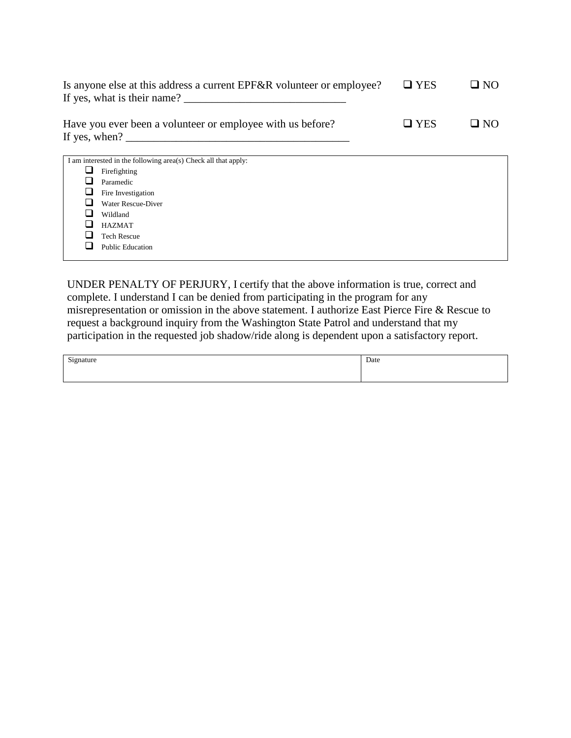| Is anyone else at this address a current EPF&R volunteer or employee?<br>If yes, what is their name? | $\Box$ YES | $\Box$ NO |
|------------------------------------------------------------------------------------------------------|------------|-----------|
| Have you ever been a volunteer or employee with us before?<br>If yes, when?                          | $\Box$ YES | $\Box$ NO |

|     | I am interested in the following area(s) Check all that apply: |
|-----|----------------------------------------------------------------|
| ┚   | Firefighting                                                   |
|     | Paramedic                                                      |
| ⊔   | Fire Investigation                                             |
|     | Water Rescue-Diver                                             |
| - 1 | Wildland                                                       |
| ┚   | HAZMAT                                                         |
|     | <b>Tech Rescue</b>                                             |
|     | <b>Public Education</b>                                        |
|     |                                                                |

UNDER PENALTY OF PERJURY, I certify that the above information is true, correct and complete. I understand I can be denied from participating in the program for any misrepresentation or omission in the above statement. I authorize East Pierce Fire & Rescue to request a background inquiry from the Washington State Patrol and understand that my participation in the requested job shadow/ride along is dependent upon a satisfactory report.

| Signature | Date |
|-----------|------|
|           |      |
|           |      |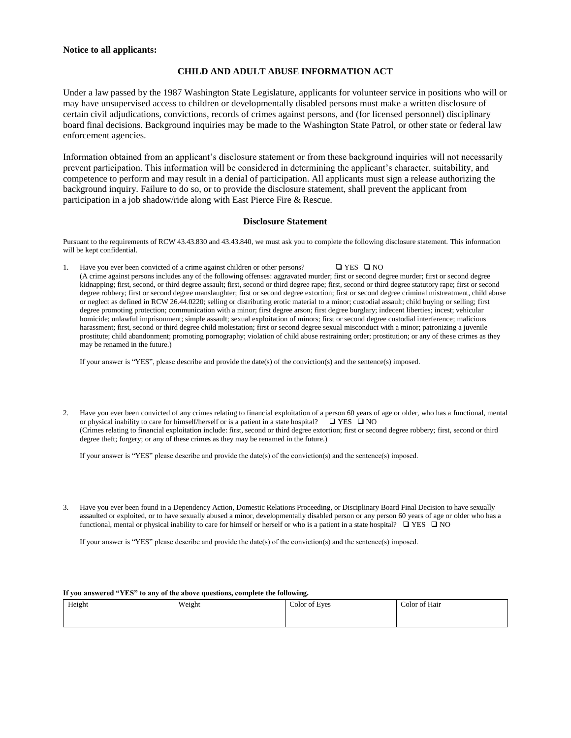#### **Notice to all applicants:**

#### **CHILD AND ADULT ABUSE INFORMATION ACT**

Under a law passed by the 1987 Washington State Legislature, applicants for volunteer service in positions who will or may have unsupervised access to children or developmentally disabled persons must make a written disclosure of certain civil adjudications, convictions, records of crimes against persons, and (for licensed personnel) disciplinary board final decisions. Background inquiries may be made to the Washington State Patrol, or other state or federal law enforcement agencies.

Information obtained from an applicant's disclosure statement or from these background inquiries will not necessarily prevent participation. This information will be considered in determining the applicant's character, suitability, and competence to perform and may result in a denial of participation. All applicants must sign a release authorizing the background inquiry. Failure to do so, or to provide the disclosure statement, shall prevent the applicant from participation in a job shadow/ride along with East Pierce Fire & Rescue.

#### **Disclosure Statement**

Pursuant to the requirements of RCW 43.43.830 and 43.43.840, we must ask you to complete the following disclosure statement. This information will be kept confidential.

1. Have you ever been convicted of a crime against children or other persons? ❑ YES ❑ NO (A crime against persons includes any of the following offenses: aggravated murder; first or second degree murder; first or second degree kidnapping; first, second, or third degree assault; first, second or third degree rape; first, second or third degree statutory rape; first or second degree robbery; first or second degree manslaughter; first or second degree extortion; first or second degree criminal mistreatment, child abuse or neglect as defined in RCW 26.44.0220; selling or distributing erotic material to a minor; custodial assault; child buying or selling; first degree promoting protection; communication with a minor; first degree arson; first degree burglary; indecent liberties; incest; vehicular homicide; unlawful imprisonment; simple assault; sexual exploitation of minors; first or second degree custodial interference; malicious harassment; first, second or third degree child molestation; first or second degree sexual misconduct with a minor; patronizing a juvenile prostitute; child abandonment; promoting pornography; violation of child abuse restraining order; prostitution; or any of these crimes as they may be renamed in the future.)

If your answer is "YES", please describe and provide the date(s) of the conviction(s) and the sentence(s) imposed.

2. Have you ever been convicted of any crimes relating to financial exploitation of a person 60 years of age or older, who has a functional, mental or physical inability to care for himself/herself or is a patient in a state hospital?  $\Box$  YES  $\Box$  NO (Crimes relating to financial exploitation include: first, second or third degree extortion; first or second degree robbery; first, second or third degree theft; forgery; or any of these crimes as they may be renamed in the future.)

If your answer is "YES" please describe and provide the date(s) of the conviction(s) and the sentence(s) imposed.

3. Have you ever been found in a Dependency Action, Domestic Relations Proceeding, or Disciplinary Board Final Decision to have sexually assaulted or exploited, or to have sexually abused a minor, developmentally disabled person or any person 60 years of age or older who has a functional, mental or physical inability to care for himself or herself or who is a patient in a state hospital?  $\Box$  YES  $\Box$  NO

If your answer is "YES" please describe and provide the date(s) of the conviction(s) and the sentence(s) imposed.

#### **If you answered "YES" to any of the above questions, complete the following.**

| Height | Weight | Color of Eyes | Color of Hair |
|--------|--------|---------------|---------------|
|        |        |               |               |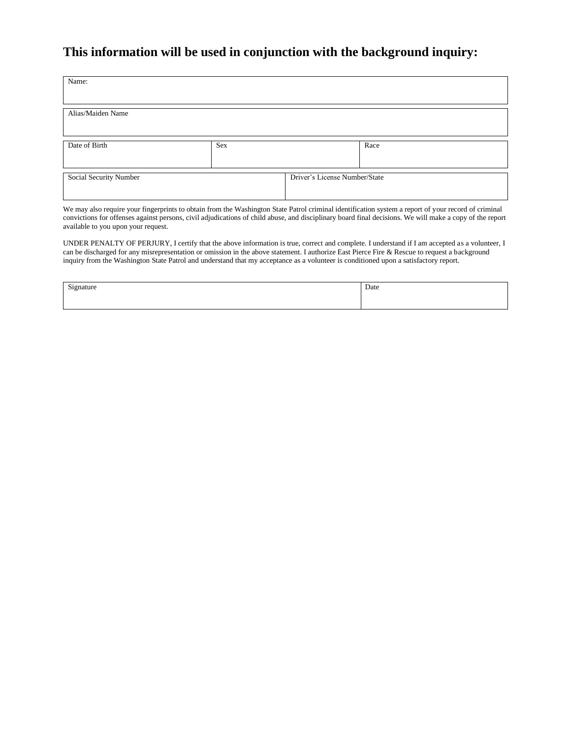### **This information will be used in conjunction with the background inquiry:**

| Name:                  |     |                               |      |
|------------------------|-----|-------------------------------|------|
| Alias/Maiden Name      |     |                               |      |
| Date of Birth          | Sex |                               | Race |
| Social Security Number |     | Driver's License Number/State |      |

We may also require your fingerprints to obtain from the Washington State Patrol criminal identification system a report of your record of criminal convictions for offenses against persons, civil adjudications of child abuse, and disciplinary board final decisions. We will make a copy of the report available to you upon your request.

UNDER PENALTY OF PERJURY, I certify that the above information is true, correct and complete. I understand if I am accepted as a volunteer, I can be discharged for any misrepresentation or omission in the above statement. I authorize East Pierce Fire & Rescue to request a background inquiry from the Washington State Patrol and understand that my acceptance as a volunteer is conditioned upon a satisfactory report.

| $\sim$<br>19 nature<br>- 0 | Date |
|----------------------------|------|
|                            |      |
|                            |      |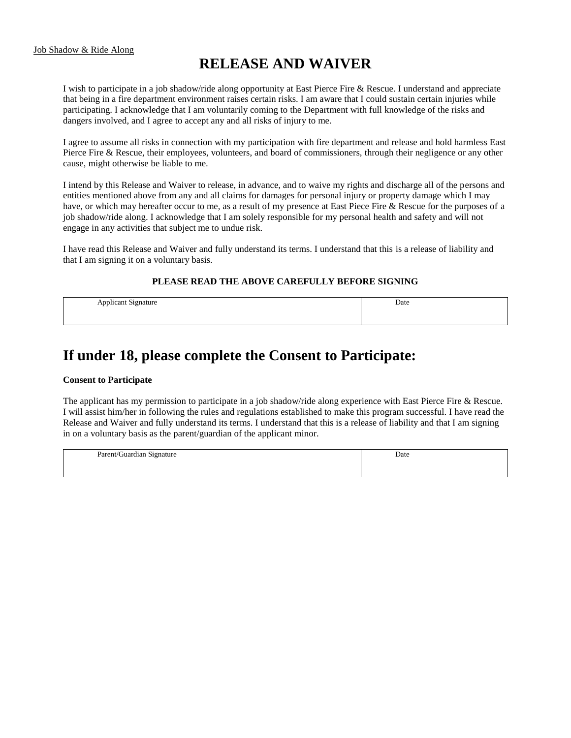# **RELEASE AND WAIVER**

I wish to participate in a job shadow/ride along opportunity at East Pierce Fire & Rescue. I understand and appreciate that being in a fire department environment raises certain risks. I am aware that I could sustain certain injuries while participating. I acknowledge that I am voluntarily coming to the Department with full knowledge of the risks and dangers involved, and I agree to accept any and all risks of injury to me.

I agree to assume all risks in connection with my participation with fire department and release and hold harmless East Pierce Fire & Rescue, their employees, volunteers, and board of commissioners, through their negligence or any other cause, might otherwise be liable to me.

I intend by this Release and Waiver to release, in advance, and to waive my rights and discharge all of the persons and entities mentioned above from any and all claims for damages for personal injury or property damage which I may have, or which may hereafter occur to me, as a result of my presence at East Piece Fire & Rescue for the purposes of a job shadow/ride along. I acknowledge that I am solely responsible for my personal health and safety and will not engage in any activities that subject me to undue risk.

I have read this Release and Waiver and fully understand its terms. I understand that this is a release of liability and that I am signing it on a voluntary basis.

#### **PLEASE READ THE ABOVE CAREFULLY BEFORE SIGNING**

| $\Delta$ nnligen<br>signature<br>$\tilde{}$<br>. . | Date |
|----------------------------------------------------|------|
|                                                    |      |
|                                                    |      |

## **If under 18, please complete the Consent to Participate:**

#### **Consent to Participate**

The applicant has my permission to participate in a job shadow/ride along experience with East Pierce Fire & Rescue. I will assist him/her in following the rules and regulations established to make this program successful. I have read the Release and Waiver and fully understand its terms. I understand that this is a release of liability and that I am signing in on a voluntary basis as the parent/guardian of the applicant minor.

| $\sim$<br>Parent<br>. juardiar<br>gnature<br>-211<br> | Date |
|-------------------------------------------------------|------|
|                                                       |      |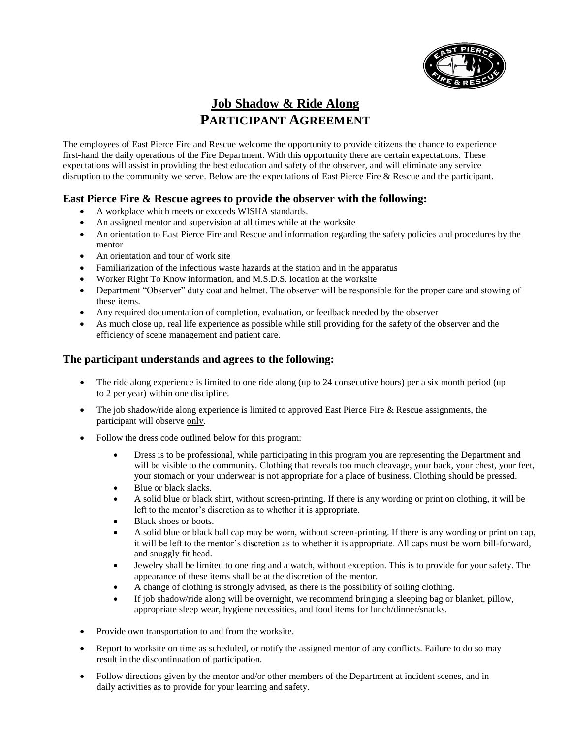

### **Job Shadow & Ride Along PARTICIPANT AGREEMENT**

The employees of East Pierce Fire and Rescue welcome the opportunity to provide citizens the chance to experience first-hand the daily operations of the Fire Department. With this opportunity there are certain expectations. These expectations will assist in providing the best education and safety of the observer, and will eliminate any service disruption to the community we serve. Below are the expectations of East Pierce Fire & Rescue and the participant.

#### **East Pierce Fire & Rescue agrees to provide the observer with the following:**

- A workplace which meets or exceeds WISHA standards.
- An assigned mentor and supervision at all times while at the worksite
- An orientation to East Pierce Fire and Rescue and information regarding the safety policies and procedures by the mentor
- An orientation and tour of work site
- Familiarization of the infectious waste hazards at the station and in the apparatus
- Worker Right To Know information, and M.S.D.S. location at the worksite
- Department "Observer" duty coat and helmet. The observer will be responsible for the proper care and stowing of these items.
- Any required documentation of completion, evaluation, or feedback needed by the observer
- As much close up, real life experience as possible while still providing for the safety of the observer and the efficiency of scene management and patient care.

#### **The participant understands and agrees to the following:**

- The ride along experience is limited to one ride along (up to 24 consecutive hours) per a six month period (up to 2 per year) within one discipline.
- The job shadow/ride along experience is limited to approved East Pierce Fire & Rescue assignments, the participant will observe only.
- Follow the dress code outlined below for this program:
	- Dress is to be professional, while participating in this program you are representing the Department and will be visible to the community. Clothing that reveals too much cleavage, your back, your chest, your feet, your stomach or your underwear is not appropriate for a place of business. Clothing should be pressed.
	- Blue or black slacks.
	- A solid blue or black shirt, without screen-printing. If there is any wording or print on clothing, it will be left to the mentor's discretion as to whether it is appropriate.
	- Black shoes or boots.
	- A solid blue or black ball cap may be worn, without screen-printing. If there is any wording or print on cap, it will be left to the mentor's discretion as to whether it is appropriate. All caps must be worn bill-forward, and snuggly fit head.
	- Jewelry shall be limited to one ring and a watch, without exception. This is to provide for your safety. The appearance of these items shall be at the discretion of the mentor.
	- A change of clothing is strongly advised, as there is the possibility of soiling clothing.
	- If job shadow/ride along will be overnight, we recommend bringing a sleeping bag or blanket, pillow, appropriate sleep wear, hygiene necessities, and food items for lunch/dinner/snacks.
- Provide own transportation to and from the worksite.
- Report to worksite on time as scheduled, or notify the assigned mentor of any conflicts. Failure to do so may result in the discontinuation of participation.
- Follow directions given by the mentor and/or other members of the Department at incident scenes, and in daily activities as to provide for your learning and safety.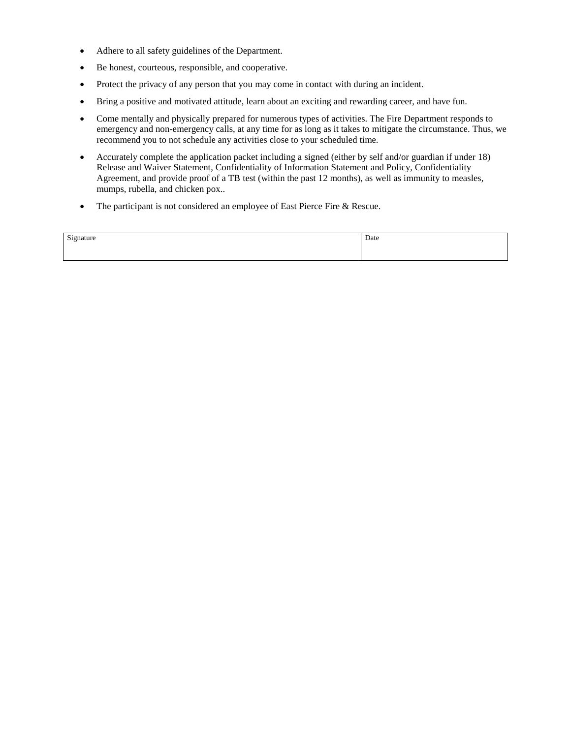- Adhere to all safety guidelines of the Department.
- Be honest, courteous, responsible, and cooperative.
- Protect the privacy of any person that you may come in contact with during an incident.
- Bring a positive and motivated attitude, learn about an exciting and rewarding career, and have fun.
- Come mentally and physically prepared for numerous types of activities. The Fire Department responds to emergency and non-emergency calls, at any time for as long as it takes to mitigate the circumstance. Thus, we recommend you to not schedule any activities close to your scheduled time.
- Accurately complete the application packet including a signed (either by self and/or guardian if under 18) Release and Waiver Statement, Confidentiality of Information Statement and Policy, Confidentiality Agreement, and provide proof of a TB test (within the past 12 months), as well as immunity to measles, mumps, rubella, and chicken pox..
- The participant is not considered an employee of East Pierce Fire & Rescue.

| Signature | Date |
|-----------|------|
|           |      |
|           |      |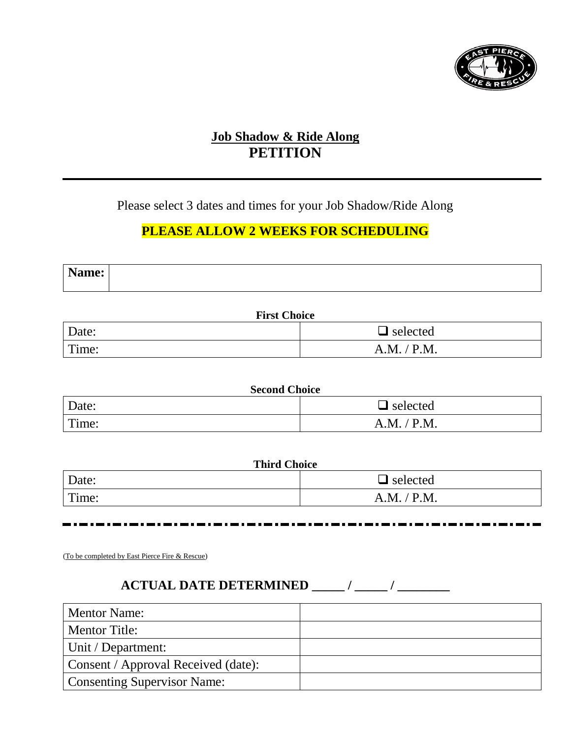

### **Job Shadow & Ride Along PETITION**

Please select 3 dates and times for your Job Shadow/Ride Along

### **PLEASE ALLOW 2 WEEKS FOR SCHEDULING**

| <b>N</b><br>Name: |  |
|-------------------|--|
|                   |  |

| <b>First Choice</b> |                 |
|---------------------|-----------------|
| Date:               | $\Box$ selected |
| Time:               | A.M. / P.M.     |

| <b>Second Choice</b> |                 |
|----------------------|-----------------|
| Date:                | $\Box$ selected |
| Time:                | A.M. / P.M.     |

| <b>Third Choice</b> |                 |  |
|---------------------|-----------------|--|
| Date:               | $\Box$ selected |  |
| Time:               | A.M. / P.M.     |  |

(To be completed by East Pierce Fire & Rescue)

# **ACTUAL DATE DETERMINED \_\_\_\_\_ / \_\_\_\_\_ / \_\_\_\_\_\_\_\_**

| <b>Mentor Name:</b>                 |  |
|-------------------------------------|--|
| <b>Mentor Title:</b>                |  |
| Unit / Department:                  |  |
| Consent / Approval Received (date): |  |
| <b>Consenting Supervisor Name:</b>  |  |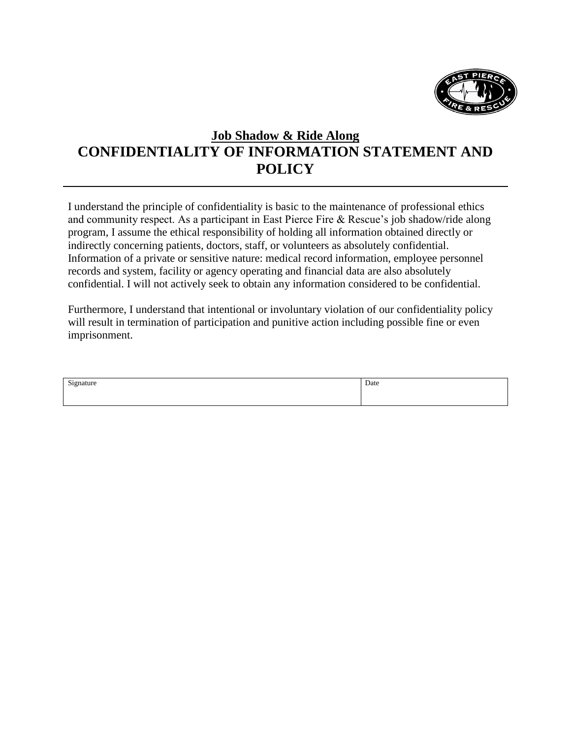

## **Job Shadow & Ride Along CONFIDENTIALITY OF INFORMATION STATEMENT AND POLICY**

I understand the principle of confidentiality is basic to the maintenance of professional ethics and community respect. As a participant in East Pierce Fire & Rescue's job shadow/ride along program, I assume the ethical responsibility of holding all information obtained directly or indirectly concerning patients, doctors, staff, or volunteers as absolutely confidential. Information of a private or sensitive nature: medical record information, employee personnel records and system, facility or agency operating and financial data are also absolutely confidential. I will not actively seek to obtain any information considered to be confidential.

Furthermore, I understand that intentional or involuntary violation of our confidentiality policy will result in termination of participation and punitive action including possible fine or even imprisonment.

| Signature<br>ົບ⊥⊾<br>ີ | Date |
|------------------------|------|
|                        |      |